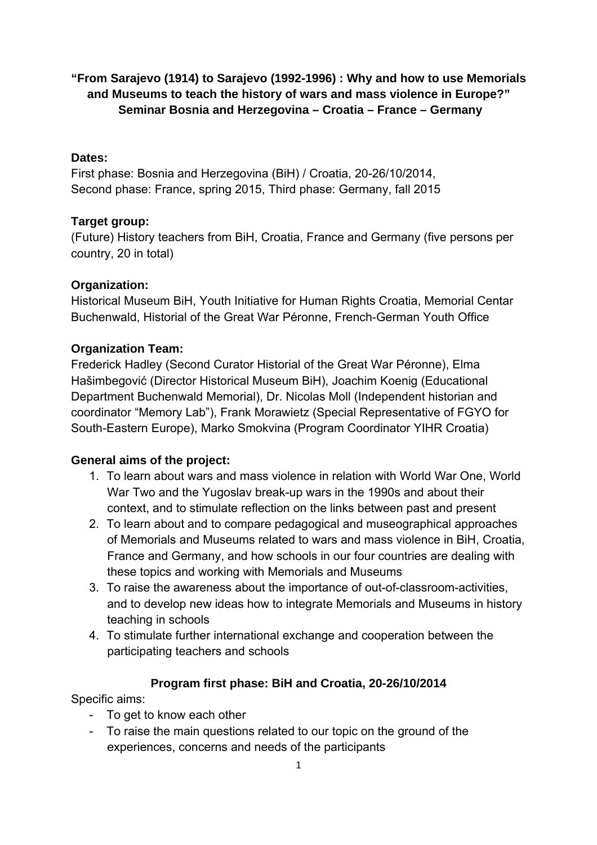# **"From Sarajevo (1914) to Sarajevo (1992-1996) : Why and how to use Memorials and Museums to teach the history of wars and mass violence in Europe?" Seminar Bosnia and Herzegovina – Croatia – France – Germany**

#### **Dates:**

First phase: Bosnia and Herzegovina (BiH) / Croatia, 20-26/10/2014, Second phase: France, spring 2015, Third phase: Germany, fall 2015

## **Target group:**

(Future) History teachers from BiH, Croatia, France and Germany (five persons per country, 20 in total)

## **Organization:**

Historical Museum BiH, Youth Initiative for Human Rights Croatia, Memorial Centar Buchenwald, Historial of the Great War Péronne, French-German Youth Office

## **Organization Team:**

Frederick Hadley (Second Curator Historial of the Great War Péronne), Elma Hašimbegović (Director Historical Museum BiH), Joachim Koenig (Educational Department Buchenwald Memorial), Dr. Nicolas Moll (Independent historian and coordinator "Memory Lab"), Frank Morawietz (Special Representative of FGYO for South-Eastern Europe), Marko Smokvina (Program Coordinator YIHR Croatia)

#### **General aims of the project:**

- 1. To learn about wars and mass violence in relation with World War One, World War Two and the Yugoslav break-up wars in the 1990s and about their context, and to stimulate reflection on the links between past and present
- 2. To learn about and to compare pedagogical and museographical approaches of Memorials and Museums related to wars and mass violence in BiH, Croatia, France and Germany, and how schools in our four countries are dealing with these topics and working with Memorials and Museums
- 3. To raise the awareness about the importance of out-of-classroom-activities, and to develop new ideas how to integrate Memorials and Museums in history teaching in schools
- 4. To stimulate further international exchange and cooperation between the participating teachers and schools

#### **Program first phase: BiH and Croatia, 20-26/10/2014**

Specific aims:

- To get to know each other
- To raise the main questions related to our topic on the ground of the experiences, concerns and needs of the participants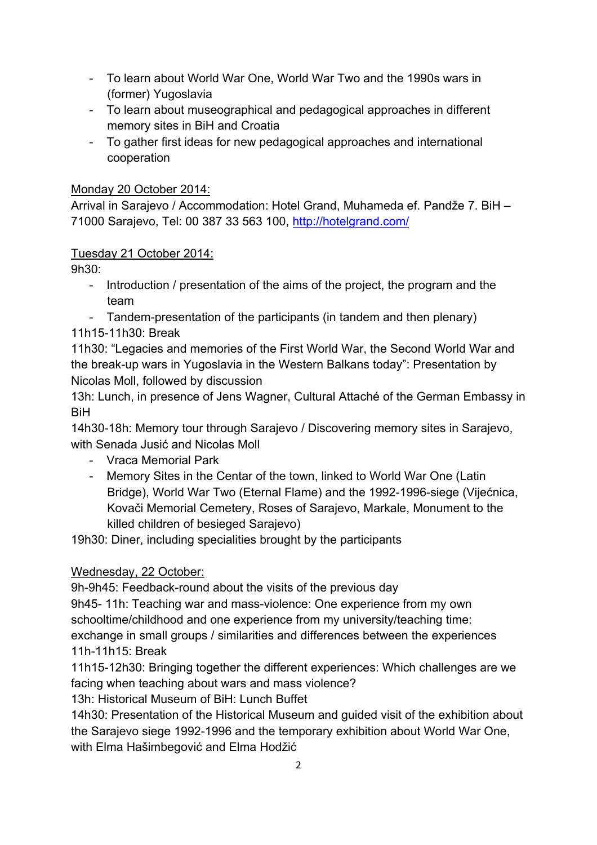- To learn about World War One, World War Two and the 1990s wars in (former) Yugoslavia
- To learn about museographical and pedagogical approaches in different memory sites in BiH and Croatia
- To gather first ideas for new pedagogical approaches and international cooperation

## Monday 20 October 2014:

Arrival in Sarajevo / Accommodation: Hotel Grand, Muhameda ef. Pandže 7. BiH – 71000 Sarajevo, Tel: 00 387 33 563 100, http://hotelgrand.com/

## Tuesday 21 October 2014:

9h30:

- Introduction / presentation of the aims of the project, the program and the team
- Tandem-presentation of the participants (in tandem and then plenary) 11h15-11h30: Break

11h30: "Legacies and memories of the First World War, the Second World War and the break-up wars in Yugoslavia in the Western Balkans today": Presentation by Nicolas Moll, followed by discussion

13h: Lunch, in presence of Jens Wagner, Cultural Attaché of the German Embassy in BiH

14h30-18h: Memory tour through Sarajevo / Discovering memory sites in Sarajevo, with Senada Jusić and Nicolas Moll

- Vraca Memorial Park
- Memory Sites in the Centar of the town, linked to World War One (Latin Bridge), World War Two (Eternal Flame) and the 1992-1996-siege (Vijećnica, Kovači Memorial Cemetery, Roses of Sarajevo, Markale, Monument to the killed children of besieged Sarajevo)

19h30: Diner, including specialities brought by the participants

# Wednesday, 22 October:

9h-9h45: Feedback-round about the visits of the previous day

9h45- 11h: Teaching war and mass-violence: One experience from my own schooltime/childhood and one experience from my university/teaching time: exchange in small groups / similarities and differences between the experiences 11h-11h15: Break

11h15-12h30: Bringing together the different experiences: Which challenges are we facing when teaching about wars and mass violence?

13h: Historical Museum of BiH: Lunch Buffet

14h30: Presentation of the Historical Museum and guided visit of the exhibition about the Sarajevo siege 1992-1996 and the temporary exhibition about World War One, with Elma Hašimbegović and Elma Hodžić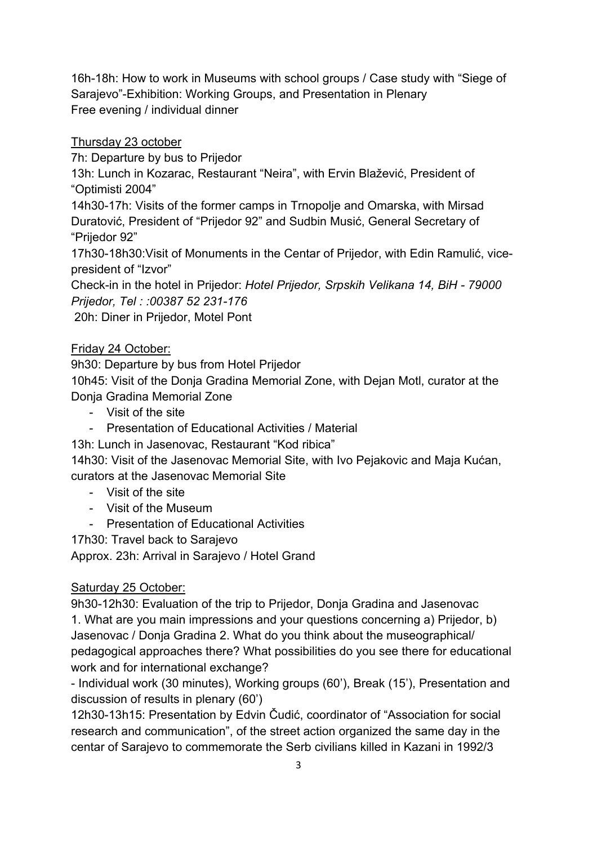16h-18h: How to work in Museums with school groups / Case study with "Siege of Sarajevo"-Exhibition: Working Groups, and Presentation in Plenary Free evening / individual dinner

Thursday 23 october

7h: Departure by bus to Prijedor

13h: Lunch in Kozarac, Restaurant "Neira", with Ervin Blažević, President of "Optimisti 2004"

14h30-17h: Visits of the former camps in Trnopolje and Omarska, with Mirsad Duratović, President of "Prijedor 92" and Sudbin Musić, General Secretary of "Prijedor 92"

17h30-18h30:Visit of Monuments in the Centar of Prijedor, with Edin Ramulić, vicepresident of "Izvor"

Check-in in the hotel in Prijedor: *Hotel Prijedor, Srpskih Velikana 14, BiH - 79000 Prijedor, Tel : :00387 52 231-176* 

20h: Diner in Prijedor, Motel Pont

# Friday 24 October:

9h30: Departure by bus from Hotel Prijedor

10h45: Visit of the Donja Gradina Memorial Zone, with Dejan Motl, curator at the Donja Gradina Memorial Zone

- Visit of the site
- Presentation of Educational Activities / Material

13h: Lunch in Jasenovac, Restaurant "Kod ribica"

14h30: Visit of the Jasenovac Memorial Site, with Ivo Pejakovic and Maja Kućan, curators at the Jasenovac Memorial Site

- Visit of the site
- Visit of the Museum
- Presentation of Educational Activities
- 17h30: Travel back to Sarajevo

Approx. 23h: Arrival in Sarajevo / Hotel Grand

#### Saturday 25 October:

9h30-12h30: Evaluation of the trip to Prijedor, Donja Gradina and Jasenovac 1. What are you main impressions and your questions concerning a) Prijedor, b) Jasenovac / Donja Gradina 2. What do you think about the museographical/ pedagogical approaches there? What possibilities do you see there for educational work and for international exchange?

- Individual work (30 minutes), Working groups (60'), Break (15'), Presentation and discussion of results in plenary (60')

12h30-13h15: Presentation by Edvin Čudić, coordinator of "Association for social research and communication", of the street action organized the same day in the centar of Sarajevo to commemorate the Serb civilians killed in Kazani in 1992/3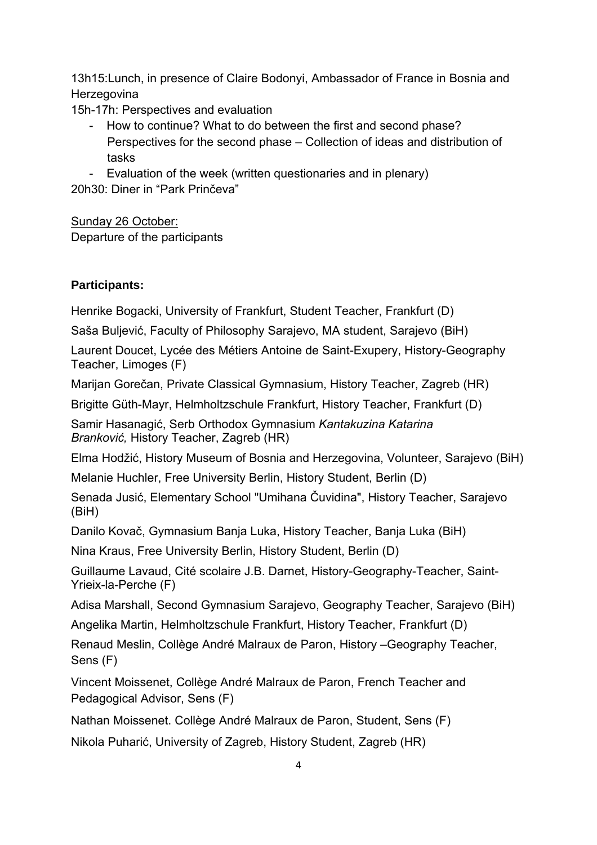13h15:Lunch, in presence of Claire Bodonyi, Ambassador of France in Bosnia and **Herzegovina** 

15h-17h: Perspectives and evaluation

- How to continue? What to do between the first and second phase? Perspectives for the second phase – Collection of ideas and distribution of tasks
- Evaluation of the week (written questionaries and in plenary)

20h30: Diner in "Park Prinčeva"

Sunday 26 October: Departure of the participants

# **Participants:**

Henrike Bogacki, University of Frankfurt, Student Teacher, Frankfurt (D)

Saša Buljević, Faculty of Philosophy Sarajevo, MA student, Sarajevo (BiH)

Laurent Doucet, Lycée des Métiers Antoine de Saint-Exupery, History-Geography Teacher, Limoges (F)

Marijan Gorečan, Private Classical Gymnasium, History Teacher, Zagreb (HR)

Brigitte Güth-Mayr, Helmholtzschule Frankfurt, History Teacher, Frankfurt (D)

Samir Hasanagić, Serb Orthodox Gymnasium *Kantakuzina Katarina Branković,* History Teacher, Zagreb (HR)

Elma Hodžić, History Museum of Bosnia and Herzegovina, Volunteer, Sarajevo (BiH)

Melanie Huchler, Free University Berlin, History Student, Berlin (D)

Senada Jusić, Elementary School "Umihana Čuvidina", History Teacher, Sarajevo (BiH)

Danilo Kovač, Gymnasium Banja Luka, History Teacher, Banja Luka (BiH)

Nina Kraus, Free University Berlin, History Student, Berlin (D)

Guillaume Lavaud, Cité scolaire J.B. Darnet, History-Geography-Teacher, Saint-Yrieix-la-Perche (F)

Adisa Marshall, Second Gymnasium Sarajevo, Geography Teacher, Sarajevo (BiH)

Angelika Martin, Helmholtzschule Frankfurt, History Teacher, Frankfurt (D)

Renaud Meslin, Collège André Malraux de Paron, History –Geography Teacher, Sens (F)

Vincent Moissenet, Collège André Malraux de Paron, French Teacher and Pedagogical Advisor, Sens (F)

Nathan Moissenet. Collège André Malraux de Paron, Student, Sens (F)

Nikola Puharić, University of Zagreb, History Student, Zagreb (HR)